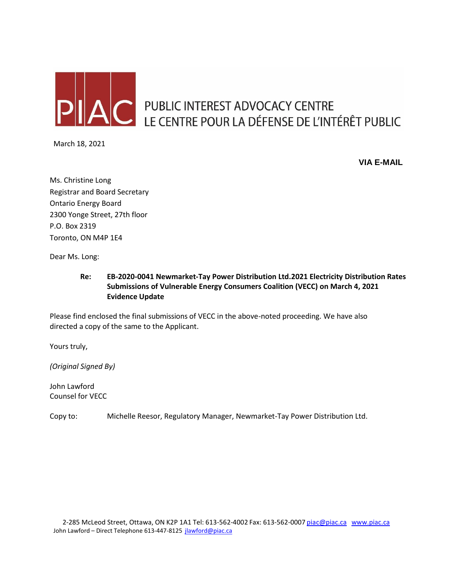

# AC PUBLIC INTEREST ADVOCACY CENTRE LE CENTRE POUR LA DÉFENSE DE L'INTÉRÊT PUBLIC

March 18, 2021

**VIA E-MAIL**

Ms. Christine Long Registrar and Board Secretary Ontario Energy Board 2300 Yonge Street, 27th floor P.O. Box 2319 Toronto, ON M4P 1E4

Dear Ms. Long:

### **Re: EB-2020-0041 Newmarket-Tay Power Distribution Ltd.2021 Electricity Distribution Rates Submissions of Vulnerable Energy Consumers Coalition (VECC) on March 4, 2021 Evidence Update**

Please find enclosed the final submissions of VECC in the above-noted proceeding. We have also directed a copy of the same to the Applicant.

Yours truly,

*(Original Signed By)*

John Lawford Counsel for VECC

Copy to: Michelle Reesor, Regulatory Manager, Newmarket-Tay Power Distribution Ltd.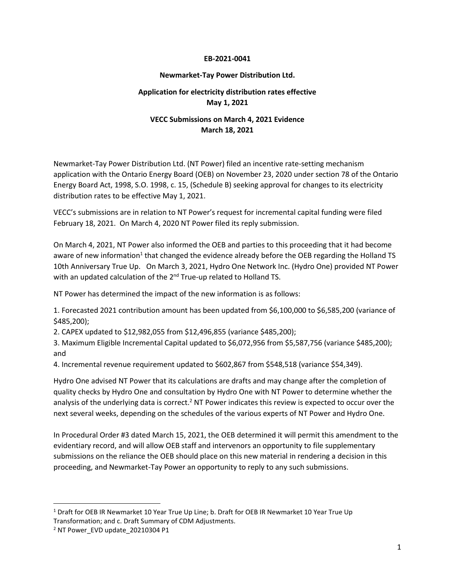#### **EB-2021-0041**

#### **Newmarket-Tay Power Distribution Ltd.**

## **Application for electricity distribution rates effective May 1, 2021**

## **VECC Submissions on March 4, 2021 Evidence March 18, 2021**

Newmarket-Tay Power Distribution Ltd. (NT Power) filed an incentive rate-setting mechanism application with the Ontario Energy Board (OEB) on November 23, 2020 under section 78 of the Ontario Energy Board Act, 1998, S.O. 1998, c. 15, (Schedule B) seeking approval for changes to its electricity distribution rates to be effective May 1, 2021.

VECC's submissions are in relation to NT Power's request for incremental capital funding were filed February 18, 2021. On March 4, 2020 NT Power filed its reply submission.

On March 4, 2021, NT Power also informed the OEB and parties to this proceeding that it had become aware of new information<sup>1</sup> that changed the evidence already before the OEB regarding the Holland TS 10th Anniversary True Up. On March 3, 2021, Hydro One Network Inc. (Hydro One) provided NT Power with an updated calculation of the 2<sup>nd</sup> True-up related to Holland TS.

NT Power has determined the impact of the new information is as follows:

1. Forecasted 2021 contribution amount has been updated from \$6,100,000 to \$6,585,200 (variance of \$485,200);

2. CAPEX updated to \$12,982,055 from \$12,496,855 (variance \$485,200);

3. Maximum Eligible Incremental Capital updated to \$6,072,956 from \$5,587,756 (variance \$485,200); and

4. Incremental revenue requirement updated to \$602,867 from \$548,518 (variance \$54,349).

Hydro One advised NT Power that its calculations are drafts and may change after the completion of quality checks by Hydro One and consultation by Hydro One with NT Power to determine whether the analysis of the underlying data is correct.<sup>2</sup> NT Power indicates this review is expected to occur over the next several weeks, depending on the schedules of the various experts of NT Power and Hydro One.

In Procedural Order #3 dated March 15, 2021, the OEB determined it will permit this amendment to the evidentiary record, and will allow OEB staff and intervenors an opportunity to file supplementary submissions on the reliance the OEB should place on this new material in rendering a decision in this proceeding, and Newmarket-Tay Power an opportunity to reply to any such submissions.

<sup>&</sup>lt;sup>1</sup> Draft for OEB IR Newmarket 10 Year True Up Line; b. Draft for OEB IR Newmarket 10 Year True Up Transformation; and c. Draft Summary of CDM Adjustments.

<sup>2</sup> NT Power\_EVD update\_20210304 P1